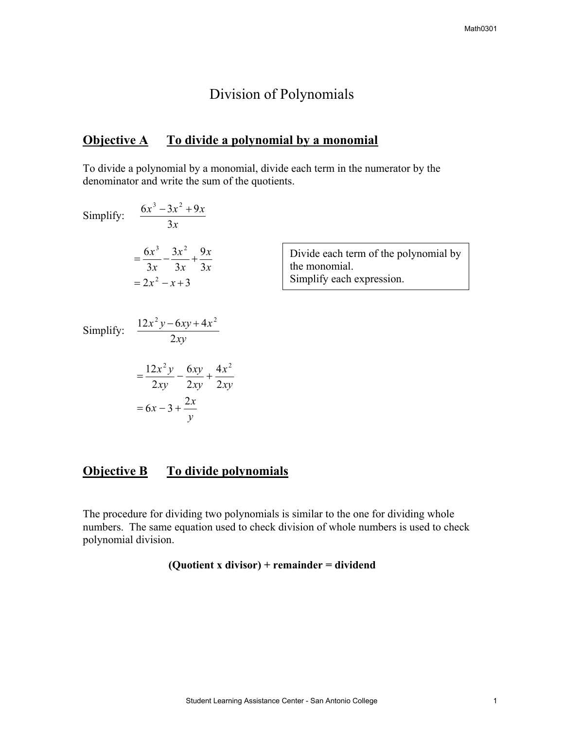## Division of Polynomials

## **Objective A To divide a polynomial by a monomial**

To divide a polynomial by a monomial, divide each term in the numerator by the denominator and write the sum of the quotients.

Simplify: 
$$
\frac{6x^3 - 3x^2 + 9x}{3x}
$$
  
\n
$$
= \frac{6x^3}{3x} - \frac{3x^2}{3x} + \frac{9x}{3x}
$$
  
\n
$$
= 2x^2 - x + 3
$$
  
\nDivide each term of the polynomial by the monomial.  
\nSimplify each expression.  
\n
$$
\frac{12x^2y - 6xy + 4x^2}{2xy}
$$
  
\n
$$
= \frac{12x^2y}{2xy} - \frac{6xy}{2xy} + \frac{4x^2}{2xy}
$$

## **Objective B** To divide polynomials

*y*

 $x - 3 + \frac{2x}{3}$ 

The procedure for dividing two polynomials is similar to the one for dividing whole numbers. The same equation used to check division of whole numbers is used to check polynomial division.

## **(Quotient x divisor) + remainder = dividend**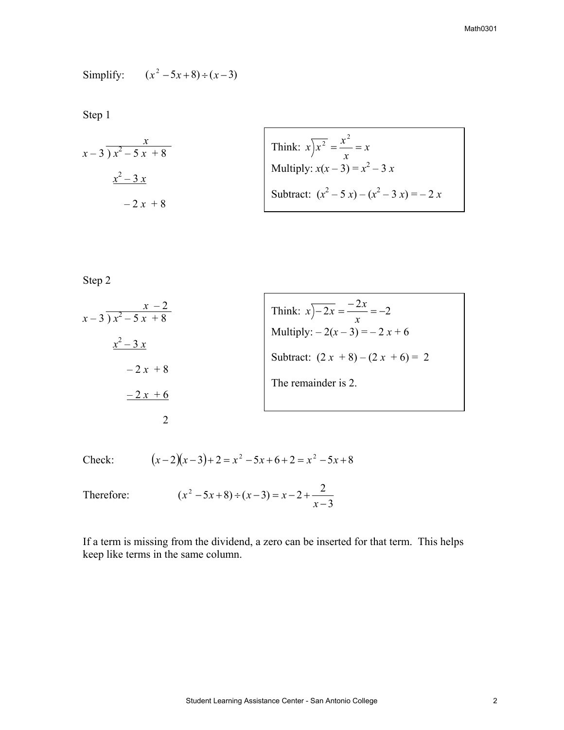Simplify: 
$$
(x^2 - 5x + 8) \div (x - 3)
$$

Step 1

$$
x-3 \overline{)x^2 - 5x + 8}
$$
  
 
$$
\frac{x^2 - 3x}{x^2 - 2x + 8}
$$
  
 
$$
x^2 - 3x
$$
  
 
$$
x^2 - 3x
$$
  
 
$$
x^2 - 3x
$$
  
 Subtract:  $(x^2 - 5x) - (x^2 - 3x) = -2x$ 

ľ

Step 2

$$
\begin{array}{r}\n\begin{array}{r}\nx - 2 \\
x - 3 \overline{\smash{\big)}\ x^2 - 5x + 8} \\
\underline{x^2 - 3x} \\
-2x + 8\n\end{array}\n\end{array}
$$
\nThink:

\n
$$
\begin{array}{r}\nx \overline{\smash{\big)}\ -2x} = \frac{-2x}{x} = -2 \\
\text{Multiply: } -2(x - 3) = -2x + 6 \\
\text{Subtract: } (2x + 8) - (2x + 6) = 2 \\
\text{The remainder is 2.}\n\end{array}
$$

 $\Gamma$ 

Check:  $(x-2)(x-3)+2=x^2-5x+6+2=x^2-5x+8$ 

Therefore: 
$$
(x^2 - 5x + 8) \div (x - 3) = x - 2 + \frac{2}{x - 3}
$$

If a term is missing from the dividend, a zero can be inserted for that term. This helps keep like terms in the same column.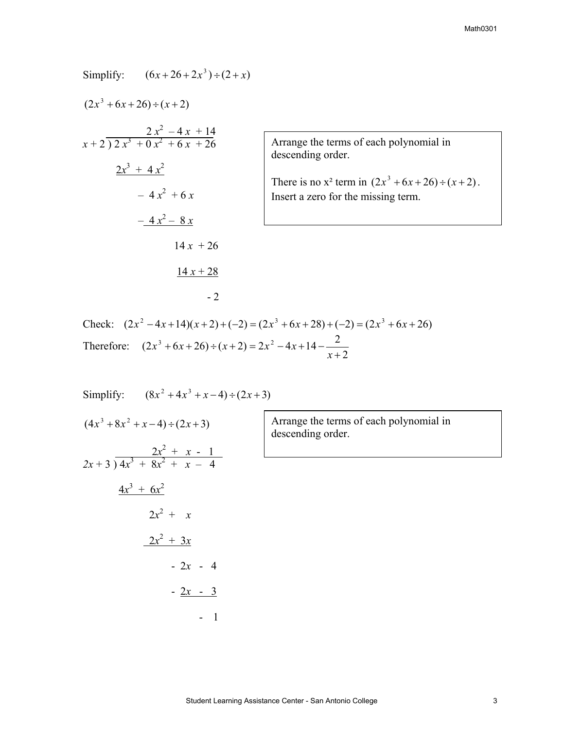| Simplify: $(6x+26+2x^3) \div (2+x)$                        |            |                                                              |
|------------------------------------------------------------|------------|--------------------------------------------------------------|
| $(2x^3+6x+26) \div (x+2)$                                  |            |                                                              |
| $\frac{2x^2-4x+14}{x+2 \overline{\smash)2x^3+0x^2+6x+26}}$ |            | Arrange the terms of eacl<br>descending order.               |
| $2x^3 + 4x^2$<br>$-4x^{2} + 6x$                            |            | There is no $x^2$ term in (2.<br>Insert a zero for the missi |
| $-4x^2 - 8x$                                               |            |                                                              |
|                                                            | $14x + 26$ |                                                              |
|                                                            | $14x + 28$ |                                                              |

h polynomial in

There is no  $x^2$  term in  $(2x^3 + 6x + 26) \div (x+2)$ . ing term.

Check:  $(2x^2 - 4x + 14)(x+2) + (-2) = (2x^3 + 6x + 28) + (-2) = (2x^3 + 6x + 26)$ Therefore: 2  $(2x^3+6x+26) \div (x+2) = 2x^2 - 4x + 14 -$ <sup>2</sup> +  $+(6x+26) \div (x+2) = 2x^2 - 4x + 14$ *x*  $x^3+6x+26 \div (x+2) = 2x^2-4x$ 

Simplify: 
$$
(8x^2 + 4x^3 + x - 4) \div (2x + 3)
$$
  
\n $(4x^3 + 8x^2 + x - 4) \div (2x + 3)$   
\n $2x + 3 \overline{\smash) 4x^3 + 8x^2 + x - 4}$   
\n $\underline{4x^3 + 6x^2}$   
\n $2x^2 + x$   
\n $\underline{2x^2 + 3x}$   
\n $- 2x - 4$   
\n $- \underline{2x - 3}$   
\n $- 1$ 

 $-2$ 

Arrange the terms of each polynomial in descending order.